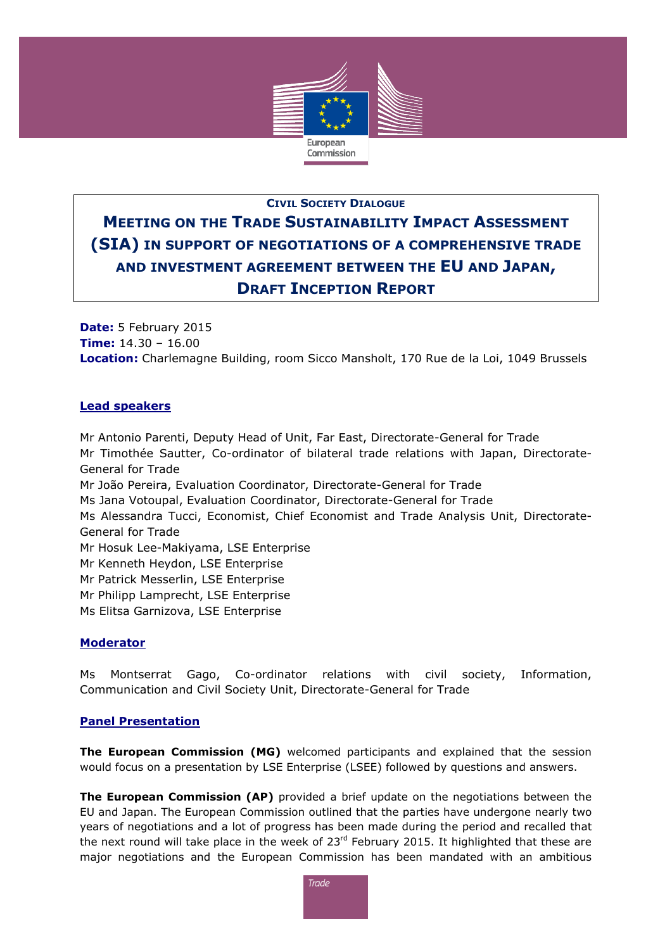

# **CIVIL SOCIETY DIALOGUE MEETING ON THE TRADE SUSTAINABILITY IMPACT ASSESSMENT (SIA) IN SUPPORT OF NEGOTIATIONS OF A COMPREHENSIVE TRADE AND INVESTMENT AGREEMENT BETWEEN THE EU AND JAPAN, DRAFT INCEPTION REPORT**

**Date:** 5 February 2015 **Time:** 14.30 – 16.00 **Location:** Charlemagne Building, room Sicco Mansholt, 170 Rue de la Loi, 1049 Brussels

## **Lead speakers**

Mr Antonio Parenti, Deputy Head of Unit, Far East, Directorate-General for Trade Mr Timothée Sautter, Co-ordinator of bilateral trade relations with Japan, Directorate-General for Trade Mr João Pereira, Evaluation Coordinator, Directorate-General for Trade Ms Jana Votoupal, Evaluation Coordinator, Directorate-General for Trade Ms Alessandra Tucci, Economist, Chief Economist and Trade Analysis Unit, Directorate-General for Trade Mr Hosuk Lee-Makiyama, LSE Enterprise Mr Kenneth Heydon, LSE Enterprise Mr Patrick Messerlin, LSE Enterprise Mr Philipp Lamprecht, LSE Enterprise Ms Elitsa Garnizova, LSE Enterprise

### **Moderator**

Ms Montserrat Gago, Co-ordinator relations with civil society, Information, Communication and Civil Society Unit, Directorate-General for Trade

### **Panel Presentation**

**The European Commission (MG)** welcomed participants and explained that the session would focus on a presentation by LSE Enterprise (LSEE) followed by questions and answers.

**The European Commission (AP)** provided a brief update on the negotiations between the EU and Japan. The European Commission outlined that the parties have undergone nearly two years of negotiations and a lot of progress has been made during the period and recalled that the next round will take place in the week of  $23<sup>rd</sup>$  February 2015. It highlighted that these are major negotiations and the European Commission has been mandated with an ambitious

**Trade**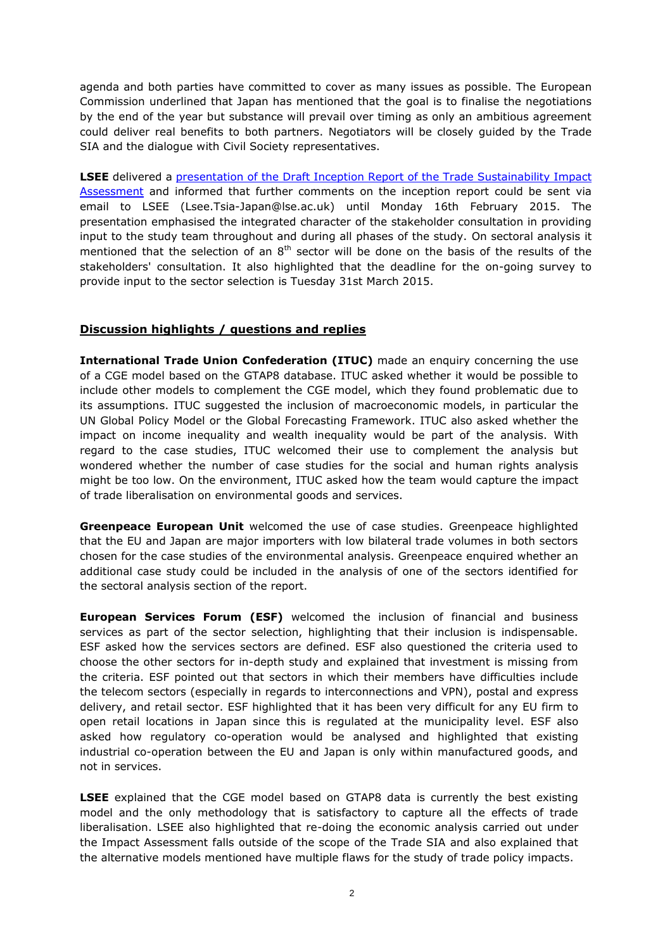agenda and both parties have committed to cover as many issues as possible. The European Commission underlined that Japan has mentioned that the goal is to finalise the negotiations by the end of the year but substance will prevail over timing as only an ambitious agreement could deliver real benefits to both partners. Negotiators will be closely guided by the Trade SIA and the dialogue with Civil Society representatives.

**LSEE** delivered a [presentation of the Draft Inception Report of the Trade Sustainability Impact](http://trade.ec.europa.eu/doclib/docs/2015/february/tradoc_153084.pdf)  [Assessment](http://trade.ec.europa.eu/doclib/docs/2015/february/tradoc_153084.pdf) and informed that further comments on the inception report could be sent via email to LSEE [\(Lsee.Tsia-Japan@lse.ac.uk\)](mailto:Lsee.Tsia-Japan@lse.ac.uk) until Monday 16th February 2015. The presentation emphasised the integrated character of the stakeholder consultation in providing input to the study team throughout and during all phases of the study. On sectoral analysis it mentioned that the selection of an  $8<sup>th</sup>$  sector will be done on the basis of the results of the stakeholders' consultation. It also highlighted that the deadline for the on-going survey to provide input to the sector selection is Tuesday 31st March 2015.

#### **Discussion highlights / questions and replies**

**International Trade Union Confederation (ITUC)** made an enquiry concerning the use of a CGE model based on the GTAP8 database. ITUC asked whether it would be possible to include other models to complement the CGE model, which they found problematic due to its assumptions. ITUC suggested the inclusion of macroeconomic models, in particular the UN Global Policy Model or the Global Forecasting Framework. ITUC also asked whether the impact on income inequality and wealth inequality would be part of the analysis. With regard to the case studies, ITUC welcomed their use to complement the analysis but wondered whether the number of case studies for the social and human rights analysis might be too low. On the environment, ITUC asked how the team would capture the impact of trade liberalisation on environmental goods and services.

**Greenpeace European Unit** welcomed the use of case studies. Greenpeace highlighted that the EU and Japan are major importers with low bilateral trade volumes in both sectors chosen for the case studies of the environmental analysis. Greenpeace enquired whether an additional case study could be included in the analysis of one of the sectors identified for the sectoral analysis section of the report.

**European Services Forum (ESF)** welcomed the inclusion of financial and business services as part of the sector selection, highlighting that their inclusion is indispensable. ESF asked how the services sectors are defined. ESF also questioned the criteria used to choose the other sectors for in-depth study and explained that investment is missing from the criteria. ESF pointed out that sectors in which their members have difficulties include the telecom sectors (especially in regards to interconnections and VPN), postal and express delivery, and retail sector. ESF highlighted that it has been very difficult for any EU firm to open retail locations in Japan since this is regulated at the municipality level. ESF also asked how regulatory co-operation would be analysed and highlighted that existing industrial co-operation between the EU and Japan is only within manufactured goods, and not in services.

**LSEE** explained that the CGE model based on GTAP8 data is currently the best existing model and the only methodology that is satisfactory to capture all the effects of trade liberalisation. LSEE also highlighted that re-doing the economic analysis carried out under the Impact Assessment falls outside of the scope of the Trade SIA and also explained that the alternative models mentioned have multiple flaws for the study of trade policy impacts.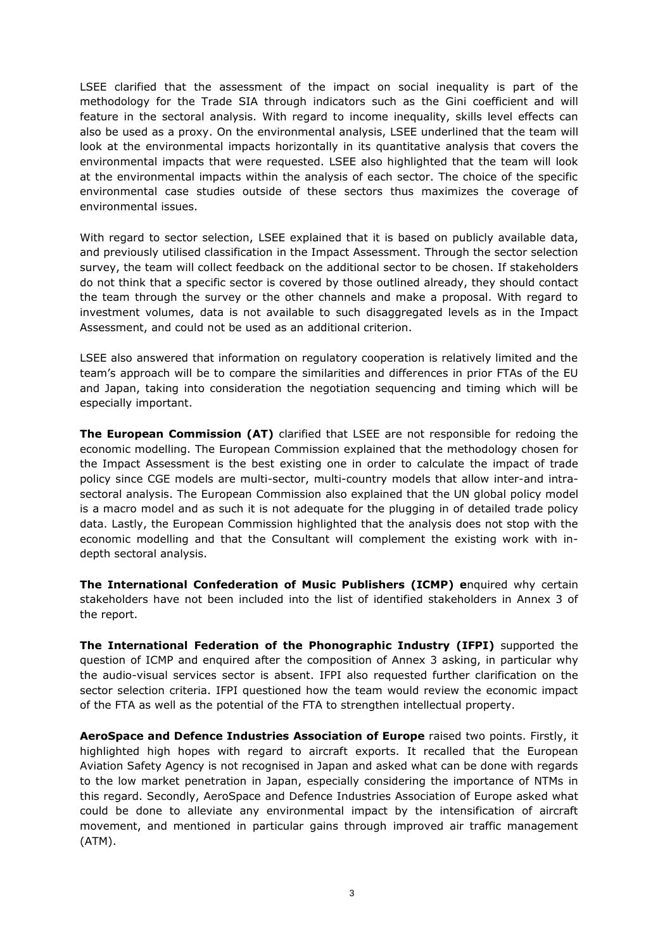LSEE clarified that the assessment of the impact on social inequality is part of the methodology for the Trade SIA through indicators such as the Gini coefficient and will feature in the sectoral analysis. With regard to income inequality, skills level effects can also be used as a proxy. On the environmental analysis, LSEE underlined that the team will look at the environmental impacts horizontally in its quantitative analysis that covers the environmental impacts that were requested. LSEE also highlighted that the team will look at the environmental impacts within the analysis of each sector. The choice of the specific environmental case studies outside of these sectors thus maximizes the coverage of environmental issues.

With regard to sector selection, LSEE explained that it is based on publicly available data, and previously utilised classification in the Impact Assessment. Through the sector selection survey, the team will collect feedback on the additional sector to be chosen. If stakeholders do not think that a specific sector is covered by those outlined already, they should contact the team through the survey or the other channels and make a proposal. With regard to investment volumes, data is not available to such disaggregated levels as in the Impact Assessment, and could not be used as an additional criterion.

LSEE also answered that information on regulatory cooperation is relatively limited and the team's approach will be to compare the similarities and differences in prior FTAs of the EU and Japan, taking into consideration the negotiation sequencing and timing which will be especially important.

**The European Commission (AT)** clarified that LSEE are not responsible for redoing the economic modelling. The European Commission explained that the methodology chosen for the Impact Assessment is the best existing one in order to calculate the impact of trade policy since CGE models are multi-sector, multi-country models that allow inter-and intrasectoral analysis. The European Commission also explained that the UN global policy model is a macro model and as such it is not adequate for the plugging in of detailed trade policy data. Lastly, the European Commission highlighted that the analysis does not stop with the economic modelling and that the Consultant will complement the existing work with indepth sectoral analysis.

**The International Confederation of Music Publishers (ICMP) e**nquired why certain stakeholders have not been included into the list of identified stakeholders in Annex 3 of the report.

**The International Federation of the Phonographic Industry (IFPI)** supported the question of ICMP and enquired after the composition of Annex 3 asking, in particular why the audio-visual services sector is absent. IFPI also requested further clarification on the sector selection criteria. IFPI questioned how the team would review the economic impact of the FTA as well as the potential of the FTA to strengthen intellectual property.

**AeroSpace and Defence Industries Association of Europe** raised two points. Firstly, it highlighted high hopes with regard to aircraft exports. It recalled that the European Aviation Safety Agency is not recognised in Japan and asked what can be done with regards to the low market penetration in Japan, especially considering the importance of NTMs in this regard. Secondly, AeroSpace and Defence Industries Association of Europe asked what could be done to alleviate any environmental impact by the intensification of aircraft movement, and mentioned in particular gains through improved air traffic management (ATM).